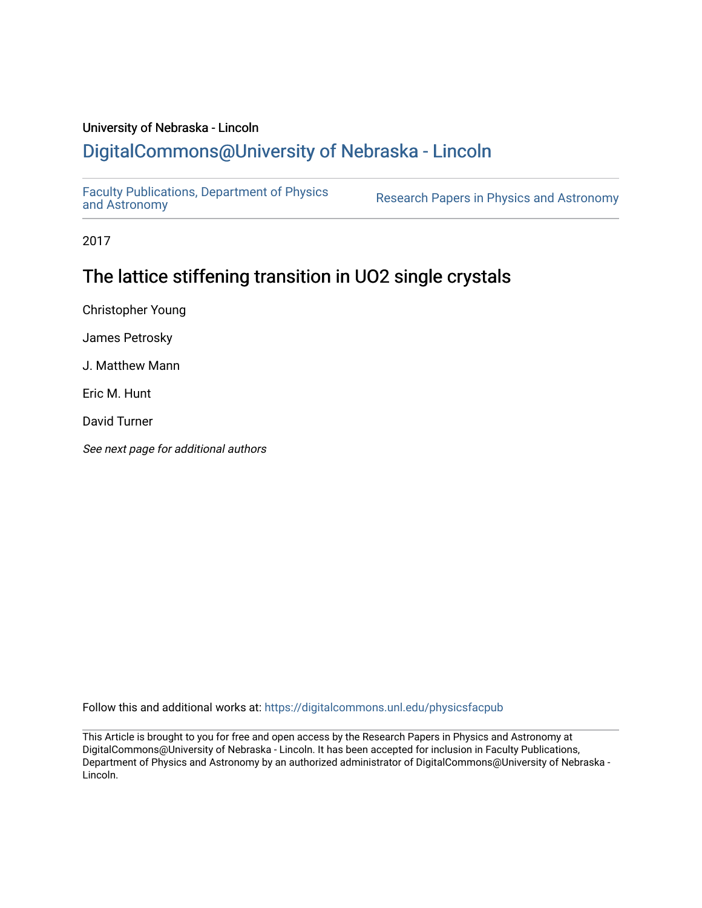## University of Nebraska - Lincoln

## [DigitalCommons@University of Nebraska - Lincoln](https://digitalcommons.unl.edu/)

[Faculty Publications, Department of Physics](https://digitalcommons.unl.edu/physicsfacpub) 

Research Papers in Physics [and Astronomy](https://digitalcommons.unl.edu/physicsfacpub)

2017

## The lattice stiffening transition in UO2 single crystals

Christopher Young

James Petrosky

J. Matthew Mann

Eric M. Hunt

David Turner

See next page for additional authors

Follow this and additional works at: [https://digitalcommons.unl.edu/physicsfacpub](https://digitalcommons.unl.edu/physicsfacpub?utm_source=digitalcommons.unl.edu%2Fphysicsfacpub%2F284&utm_medium=PDF&utm_campaign=PDFCoverPages)

This Article is brought to you for free and open access by the Research Papers in Physics and Astronomy at DigitalCommons@University of Nebraska - Lincoln. It has been accepted for inclusion in Faculty Publications, Department of Physics and Astronomy by an authorized administrator of DigitalCommons@University of Nebraska - Lincoln.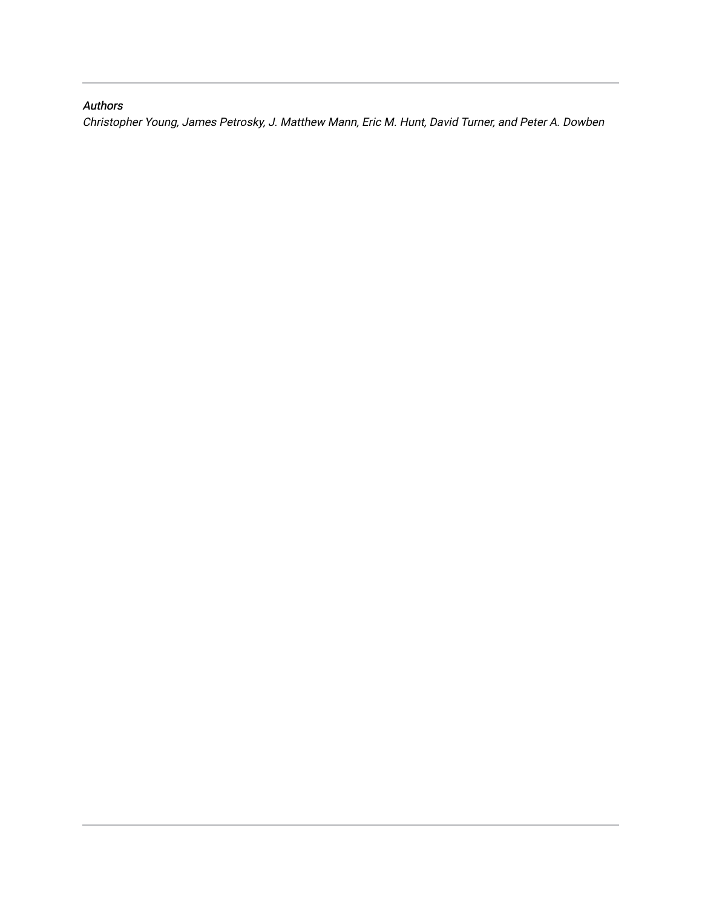### Authors

Christopher Young, James Petrosky, J. Matthew Mann, Eric M. Hunt, David Turner, and Peter A. Dowben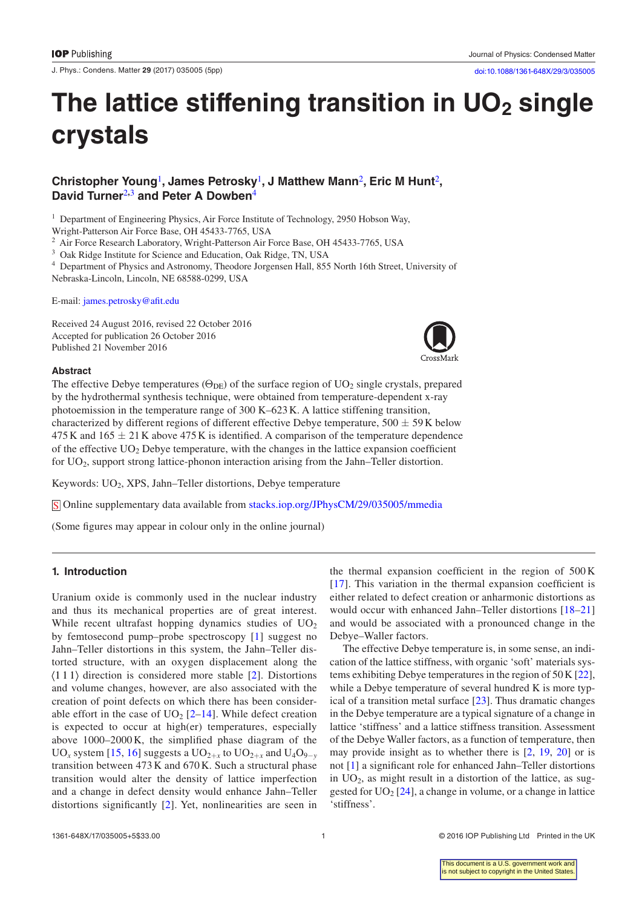J. Phys.: Condens. Matter **29** (2017) 035005 [\(5](#page-6-0)pp) [doi:10.1088/1361-648X/29/3/035005](http://dx.doi.org/10.1088/1361-648X/29/3/035005)

# The lattice stiffening transition in UO<sub>2</sub> single **crystals**

#### **Christopher Young**[1](#page-2-0)**, James Petrosky**[1](#page-2-0)**, J Matthew Mann**[2](#page-2-1)**, Eric M Hunt**[2](#page-2-1)**, David Turner**[2](#page-2-1)**,**[3](#page-2-2) **and Peter A Dowben**[4](#page-2-3)

<span id="page-2-0"></span><sup>1</sup> Department of Engineering Physics, Air Force Institute of Technology, 2950 Hobson Way,

Wright-Patterson Air Force Base, OH 45433-7765, USA

<span id="page-2-1"></span><sup>2</sup> Air Force Research Laboratory, Wright-Patterson Air Force Base, OH 45433-7765, USA

<span id="page-2-2"></span><sup>3</sup> Oak Ridge Institute for Science and Education, Oak Ridge, TN, USA

<span id="page-2-3"></span><sup>4</sup> Department of Physics and Astronomy, Theodore Jorgensen Hall, 855 North 16th Street, University of Nebraska-Lincoln, Lincoln, NE 68588-0299, USA

E-mail: [james.petrosky@afit.edu](mailto:james.petrosky@afit.edu)

Received 24 August 2016, revised 22 October 2016 Accepted for publication 26 October 2016 Published 21 November 2016



#### **Abstract**

The effective Debye temperatures ( $\Theta_{\text{DE}}$ ) of the surface region of UO<sub>2</sub> single crystals, prepared by the hydrothermal synthesis technique, were obtained from temperature-dependent x-ray photoemission in the temperature range of 300 K–623K. A lattice stiffening transition, characterized by different regions of different effective Debye temperature,  $500 \pm 59$  K below 475 K and  $165 \pm 21$  K above 475 K is identified. A comparison of the temperature dependence of the effective  $UO<sub>2</sub>$  Debye temperature, with the changes in the lattice expansion coefficient for UO<sub>2</sub>, support strong lattice-phonon interaction arising from the Jahn–Teller distortion.

Keywords: UO<sub>2</sub>, XPS, Jahn–Teller distortions, Debye temperature

S Online supplementary data available from [stacks.iop.org/JPhysCM/29/035005/mmedia](http://stacks.iop.org/JPhysCM/29/035005/mmedia)

(Some figures may appear in colour only in the online journal)

#### **1. Introduction**

Uranium oxide is commonly used in the nuclear industry and thus its mechanical properties are of great interest. While recent ultrafast hopping dynamics studies of  $UO<sub>2</sub>$ by femtosecond pump–probe spectroscopy [[1](#page-5-0)] suggest no Jahn–Teller distortions in this system, the Jahn–Teller distorted structure, with an oxygen displacement along the  $\langle 111 \rangle$  direction is considered more stable [\[2](#page-5-1)]. Distortions and volume changes, however, are also associated with the creation of point defects on which there has been considerable effort in the case of  $UO<sub>2</sub>$  [\[2](#page-5-1)–[14\]](#page-5-2). While defect creation is expected to occur at high(er) temperatures, especially above 1000–2000 K, the simplified phase diagram of the UO<sub>x</sub> system [\[15,](#page-5-3) [16\]](#page-5-4) suggests a UO<sub>2+*x*</sub> to UO<sub>2+*x*</sub> and U<sub>4</sub>O<sub>9−*y*</sub> transition between 473 K and 670 K. Such a structural phase transition would alter the density of lattice imperfection and a change in defect density would enhance Jahn–Teller distortions significantly [\[2](#page-5-1)]. Yet, nonlinearities are seen in

the thermal expansion coefficient in the region of 500 K [\[17\]](#page-5-5). This variation in the thermal expansion coefficient is either related to defect creation or anharmonic distortions as would occur with enhanced Jahn–Teller distortions [\[18](#page-5-6)–[21\]](#page-5-7) and would be associated with a pronounced change in the Debye–Waller factors.

The effective Debye temperature is, in some sense, an indication of the lattice stiffness, with organic 'soft' materials systems exhibiting Debye temperatures in the region of 50K [\[22](#page-5-8)], while a Debye temperature of several hundred K is more typical of a transition metal surface [\[23](#page-5-9)]. Thus dramatic changes in the Debye temperature are a typical signature of a change in lattice 'stiffness' and a lattice stiffness transition. Assessment of the Debye Waller factors, as a function of temperature, then may provide insight as to whether there is [[2,](#page-5-1) [19](#page-5-10), [20](#page-5-11)] or is not [[1\]](#page-5-0) a significant role for enhanced Jahn–Teller distortions in  $UO<sub>2</sub>$ , as might result in a distortion of the lattice, as suggested for  $UO<sub>2</sub>$  [[24\]](#page-5-12), a change in volume, or a change in lattice 'stiffness'.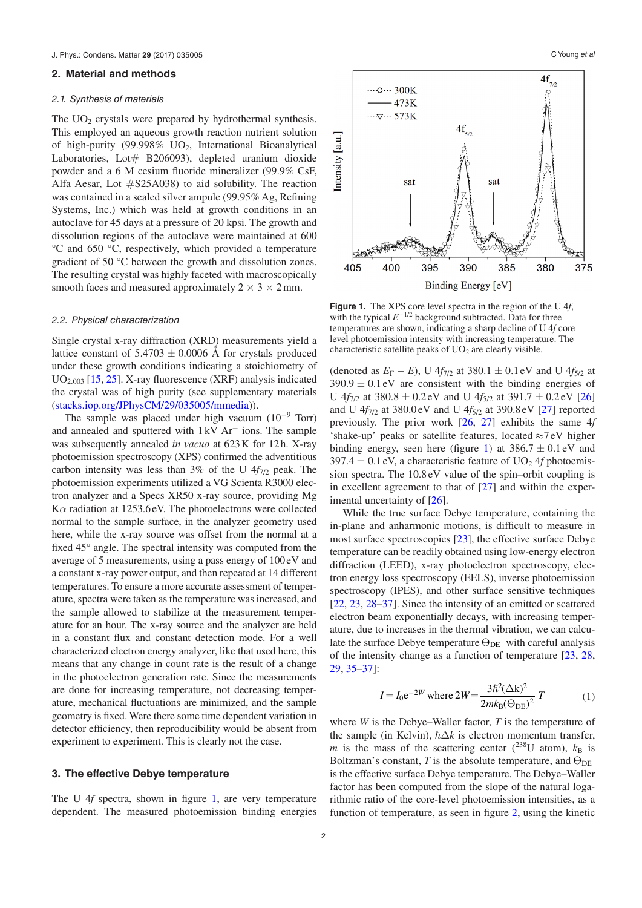#### **2. Material and methods**

#### *2.1. Synthesis of materials*

The  $UO<sub>2</sub>$  crystals were prepared by hydrothermal synthesis. This employed an aqueous growth reaction nutrient solution of high-purity (99.998%  $UO<sub>2</sub>$ , International Bioanalytical Laboratories, Lot# B206093), depleted uranium dioxide powder and a 6 M cesium fluoride mineralizer (99.9% CsF, Alfa Aesar, Lot #S25A038) to aid solubility. The reaction was contained in a sealed silver ampule (99.95% Ag, Refining Systems, Inc.) which was held at growth conditions in an autoclave for 45 days at a pressure of 20 kpsi. The growth and dissolution regions of the autoclave were maintained at 600 °C and 650 °C, respectively, which provided a temperature gradient of 50 °C between the growth and dissolution zones. The resulting crystal was highly faceted with macroscopically smooth faces and measured approximately  $2 \times 3 \times 2$  mm.

#### *2.2. Physical characterization*

Single crystal x-ray diffraction (XRD) measurements yield a lattice constant of  $5.4703 \pm 0.0006$  Å for crystals produced under these growth conditions indicating a stoichiometry of  $UO_{2,003}$  [[15,](#page-5-3) [25\]](#page-5-13). X-ray fluorescence (XRF) analysis indicated the crystal was of high purity (see supplementary materials [\(stacks.iop.org/JPhysCM/29/035005/mmedia\)](http://stacks.iop.org/JPhysCM/29/035005/mmedia)).

The sample was placed under high vacuum  $(10^{-9} \text{ Torr})$ and annealed and sputtered with  $1 \text{kV} \text{Ar}^+$  ions. The sample was subsequently annealed *in vacuo* at 623K for 12h. X-ray photoemission spectroscopy (XPS) confirmed the adventitious carbon intensity was less than 3% of the U  $4f_{7/2}$  peak. The photoemission experiments utilized a VG Scienta R3000 electron analyzer and a Specs XR50 x-ray source, providing Mg K*α* radiation at 1253.6eV. The photoelectrons were collected normal to the sample surface, in the analyzer geometry used here, while the x-ray source was offset from the normal at a fixed 45° angle. The spectral intensity was computed from the average of 5 measurements, using a pass energy of 100eV and a constant x-ray power output, and then repeated at 14 different temperatures. To ensure a more accurate assessment of temperature, spectra were taken as the temperature was increased, and the sample allowed to stabilize at the measurement temperature for an hour. The x-ray source and the analyzer are held in a constant flux and constant detection mode. For a well characterized electron energy analyzer, like that used here, this means that any change in count rate is the result of a change in the photoelectron generation rate. Since the measurements are done for increasing temperature, not decreasing temperature, mechanical fluctuations are minimized, and the sample geometry is fixed. Were there some time dependent variation in detector efficiency, then reproducibility would be absent from experiment to experiment. This is clearly not the case.

#### **3. The effective Debye temperature**

The U 4f spectra, shown in figure [1](#page-3-0), are very temperature dependent. The measured photoemission binding energies

<span id="page-3-0"></span>

**Figure 1.** The XPS core level spectra in the region of the U 4*f*, with the typical *E<sup>−1/2</sup>* background subtracted. Data for three temperatures are shown, indicating a sharp decline of U 4*f* core level photoemission intensity with increasing temperature. The characteristic satellite peaks of  $UO<sub>2</sub>$  are clearly visible.

(denoted as  $E_F - E$ ), U  $4f_{7/2}$  at 380.1  $\pm$  0.1 eV and U  $4f_{5/2}$  at  $390.9 \pm 0.1$  eV are consistent with the binding energies of U  $4f_{7/2}$  at 380.8  $\pm$  0.2 eV and U  $4f_{5/2}$  at 391.7  $\pm$  0.2 eV [[26\]](#page-5-14) and U 4*f*7/2 at 380.0eV and U 4*f*5/2 at 390.8eV [\[27](#page-5-15)] reported previously. The prior work [[26,](#page-5-14) [27](#page-5-15)] exhibits the same 4*f* 'shake-up' peaks or satellite features, located ≈7eV higher binding energy, seen here (figure [1](#page-3-0)) at  $386.7 \pm 0.1$  eV and 397.4  $\pm$  0.1 eV, a characteristic feature of UO<sub>2</sub> 4f photoemission spectra. The 10.8eV value of the spin–orbit coupling is in excellent agreement to that of  $[27]$  $[27]$  and within the experimental uncertainty of [\[26](#page-5-14)].

While the true surface Debye temperature, containing the in-plane and anharmonic motions, is difficult to measure in most surface spectroscopies [[23\]](#page-5-9), the effective surface Debye temperature can be readily obtained using low-energy electron diffraction (LEED), x-ray photoelectron spectroscopy, electron energy loss spectroscopy (EELS), inverse photoemission spectroscopy (IPES), and other surface sensitive techniques [\[22](#page-5-8), [23](#page-5-9), [28](#page-5-16)–[37\]](#page-6-1). Since the intensity of an emitted or scattered electron beam exponentially decays, with increasing temperature, due to increases in the thermal vibration, we can calculate the surface Debye temperature  $\Theta_{\text{DE}}$  with careful analysis of the intensity change as a function of temperature [[23,](#page-5-9) [28,](#page-5-16) [29](#page-5-17), [35](#page-6-2)–[37](#page-6-1)]:

$$
I = I_0 e^{-2W} \text{ where } 2W = \frac{3\hbar^2 (\Delta k)^2}{2m k_B (\Theta_{DE})^2} T
$$
 (1)

<span id="page-3-1"></span>where *W* is the Debye–Waller factor, *T* is the temperature of the sample (in Kelvin),  $\hbar \Delta k$  is electron momentum transfer, *m* is the mass of the scattering center (<sup>238</sup>U atom),  $k_B$  is Boltzman's constant, *T* is the absolute temperature, and  $\Theta_{\text{DE}}$ is the effective surface Debye temperature. The Debye–Waller factor has been computed from the slope of the natural logarithmic ratio of the core-level photoemission intensities, as a function of temperature, as seen in figure [2,](#page-4-0) using the kinetic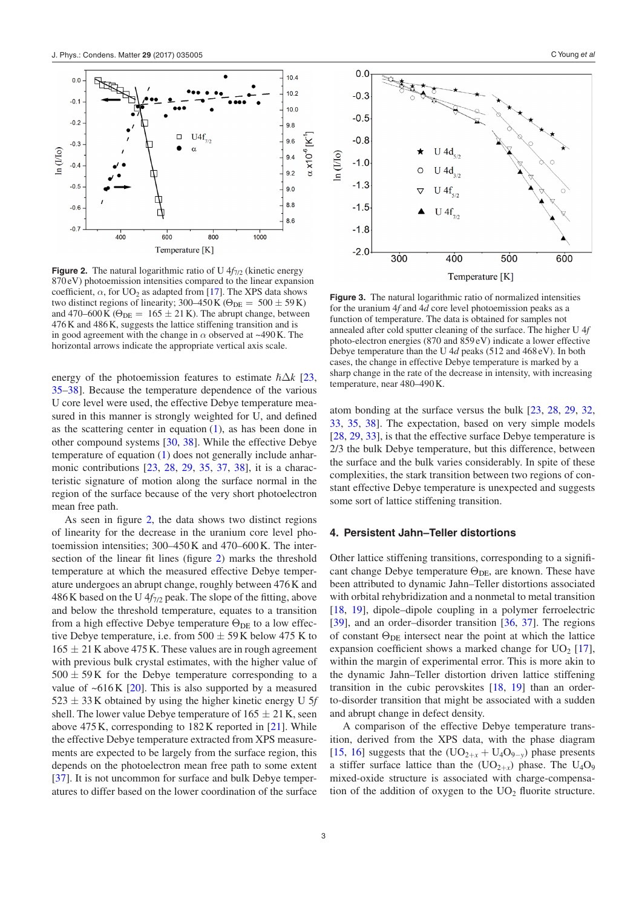<span id="page-4-0"></span>

**Figure 2.** The natural logarithmic ratio of U  $4f_{7/2}$  (kinetic energy 870eV) photoemission intensities compared to the linear expansion coefficient,  $\alpha$ , for UO<sub>2</sub> as adapted from [\[17](#page-5-5)]. The XPS data shows two distinct regions of linearity; 300–450 K ( $\Theta_{\text{DE}} = 500 \pm 59$  K) and 470–600 K ( $\Theta_{DE} = 165 \pm 21$  K). The abrupt change, between 476K and 486K, suggests the lattice stiffening transition and is in good agreement with the change in *α* observed at ~490K. The horizontal arrows indicate the appropriate vertical axis scale.

energy of the photoemission features to estimate  $\hbar \Delta k$  [[23,](#page-5-9) [35](#page-6-2)–[38\]](#page-6-3). Because the temperature dependence of the various U core level were used, the effective Debye temperature measured in this manner is strongly weighted for U, and defined as the scattering center in equation  $(1)$  $(1)$ , as has been done in other compound systems [\[30](#page-6-4), [38\]](#page-6-3). While the effective Debye temperature of equation ([1\)](#page-3-1) does not generally include anharmonic contributions [\[23](#page-5-9), [28,](#page-5-16) [29,](#page-5-17) [35,](#page-6-2) [37](#page-6-1), [38](#page-6-3)], it is a characteristic signature of motion along the surface normal in the region of the surface because of the very short photoelectron mean free path.

As seen in figure [2,](#page-4-0) the data shows two distinct regions of linearity for the decrease in the uranium core level photoemission intensities; 300–450K and 470–600K. The intersection of the linear fit lines (figure [2](#page-4-0)) marks the threshold temperature at which the measured effective Debye temperature undergoes an abrupt change, roughly between 476K and 486K based on the U  $4f_{7/2}$  peak. The slope of the fitting, above and below the threshold temperature, equates to a transition from a high effective Debye temperature  $\Theta_{\text{DE}}$  to a low effective Debye temperature, i.e. from  $500 \pm 59$  K below 475 K to  $165 \pm 21$  K above 475 K. These values are in rough agreement with previous bulk crystal estimates, with the higher value of  $500 \pm 59$ K for the Debye temperature corresponding to a value of  $~616K$  [[20\]](#page-5-11). This is also supported by a measured 523 ± 33K obtained by using the higher kinetic energy U 5*f* shell. The lower value Debye temperature of  $165 \pm 21$  K, seen above 475K, corresponding to 182K reported in [\[21](#page-5-7)]. While the effective Debye temperature extracted from XPS measurements are expected to be largely from the surface region, this depends on the photoelectron mean free path to some extent [\[37](#page-6-1)]. It is not uncommon for surface and bulk Debye temperatures to differ based on the lower coordination of the surface

<span id="page-4-1"></span>

**Figure 3.** The natural logarithmic ratio of normalized intensities for the uranium 4*f* and 4*d* core level photoemission peaks as a function of temperature. The data is obtained for samples not annealed after cold sputter cleaning of the surface. The higher U 4*f* photo-electron energies (870 and 859 eV) indicate a lower effective Debye temperature than the U 4*d* peaks (512 and 468 eV). In both cases, the change in effective Debye temperature is marked by a sharp change in the rate of the decrease in intensity, with increasing temperature, near 480–490K.

atom bonding at the surface versus the bulk [\[23](#page-5-9), [28,](#page-5-16) [29,](#page-5-17) [32,](#page-6-5) [33](#page-6-6), [35](#page-6-2), [38\]](#page-6-3). The expectation, based on very simple models [\[28](#page-5-16), [29](#page-5-17), [33](#page-6-6)], is that the effective surface Debye temperature is 2/3 the bulk Debye temperature, but this difference, between the surface and the bulk varies considerably. In spite of these complexities, the stark transition between two regions of constant effective Debye temperature is unexpected and suggests some sort of lattice stiffening transition.

#### **4. Persistent Jahn–Teller distortions**

Other lattice stiffening transitions, corresponding to a significant change Debye temperature  $\Theta_{DE}$ , are known. These have been attributed to dynamic Jahn–Teller distortions associated with orbital rehybridization and a nonmetal to metal transition [\[18](#page-5-6), [19](#page-5-10)], dipole–dipole coupling in a polymer ferroelectric [\[39](#page-6-7)], and an order–disorder transition [[36,](#page-6-8) [37](#page-6-1)]. The regions of constant  $\Theta_{\text{DE}}$  intersect near the point at which the lattice expansion coefficient shows a marked change for  $UO<sub>2</sub>$  [\[17](#page-5-5)], within the margin of experimental error. This is more akin to the dynamic Jahn–Teller distortion driven lattice stiffening transition in the cubic perovskites [\[18](#page-5-6), [19](#page-5-10)] than an orderto-disorder transition that might be associated with a sudden and abrupt change in defect density.

A comparison of the effective Debye temperature transition, derived from the XPS data, with the phase diagram [\[15](#page-5-3), [16](#page-5-4)] suggests that the  $(UO_{2+x} + U_4O_{9-y})$  phase presents a stiffer surface lattice than the  $(UO_{2+x})$  phase. The  $U_4O_9$ mixed-oxide structure is associated with charge-compensation of the addition of oxygen to the  $UO<sub>2</sub>$  fluorite structure.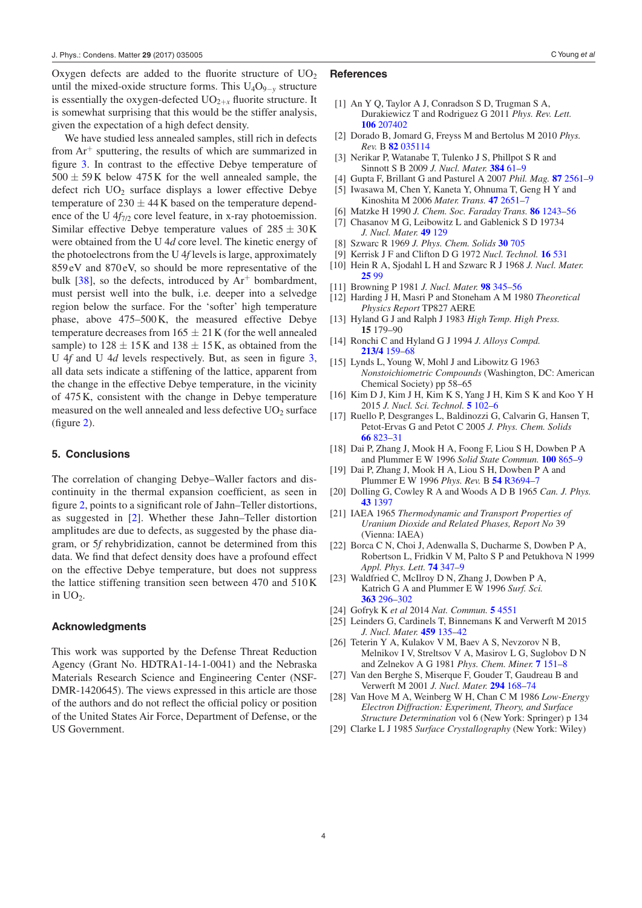Oxygen defects are added to the fluorite structure of  $UO<sub>2</sub>$ until the mixed-oxide structure forms. This  $U_4O_{9-y}$  structure is essentially the oxygen-defected  $UO_{2+r}$  fluorite structure. It is somewhat surprising that this would be the stiffer analysis, given the expectation of a high defect density.

We have studied less annealed samples, still rich in defects from  $Ar^+$  sputtering, the results of which are summarized in figure [3.](#page-4-1) In contrast to the effective Debye temperature of  $500 \pm 59$ K below  $475$ K for the well annealed sample, the defect rich  $UO<sub>2</sub>$  surface displays a lower effective Debye temperature of  $230 \pm 44$  K based on the temperature dependence of the U 4*f*<sub>7/2</sub> core level feature, in x-ray photoemission. Similar effective Debye temperature values of  $285 \pm 30$  K were obtained from the U 4*d* core level. The kinetic energy of the photoelectrons from the U 4*f* levels is large, approximately 859 eV and 870eV, so should be more representative of the bulk  $[38]$  $[38]$ , so the defects, introduced by  $Ar^+$  bombardment, must persist well into the bulk, i.e. deeper into a selvedge region below the surface. For the 'softer' high temperature phase, above 475–500K, the measured effective Debye temperature decreases from  $165 \pm 21$  K (for the well annealed sample) to  $128 \pm 15$  K and  $138 \pm 15$  K, as obtained from the U 4*f* and U 4*d* levels respectively. But, as seen in figure [3,](#page-4-1) all data sets indicate a stiffening of the lattice, apparent from the change in the effective Debye temperature, in the vicinity of 475K, consistent with the change in Debye temperature measured on the well annealed and less defective  $UO<sub>2</sub>$  surface (figure [2](#page-4-0)).

#### **5. Conclusions**

The correlation of changing Debye–Waller factors and discontinuity in the thermal expansion coefficient, as seen in figure [2,](#page-4-0) points to a significant role of Jahn–Teller distortions, as suggested in [\[2](#page-5-1)]. Whether these Jahn–Teller distortion amplitudes are due to defects, as suggested by the phase diagram, or 5*f* rehybridization, cannot be determined from this data. We find that defect density does have a profound effect on the effective Debye temperature, but does not suppress the lattice stiffening transition seen between 470 and 510K in  $UO<sub>2</sub>$ .

#### **Acknowledgments**

This work was supported by the Defense Threat Reduction Agency (Grant No. HDTRA1-14-1-0041) and the Nebraska Materials Research Science and Engineering Center (NSF-DMR-1420645). The views expressed in this article are those of the authors and do not reflect the official policy or position of the United States Air Force, Department of Defense, or the US Government.

- <span id="page-5-0"></span>[1] An Y Q, Taylor A J, Conradson S D, Trugman S A, Durakiewicz T and Rodriguez G 2011 *Phys. Rev. Lett.* **[106](http://dx.doi.org/10.1103/PhysRevLett.106.207402)** [207402](http://dx.doi.org/10.1103/PhysRevLett.106.207402)
- <span id="page-5-1"></span>[2] Dorado B, Jomard G, Freyss M and Bertolus M 2010 *Phys. Rev.* B **[82](http://dx.doi.org/10.1103/PhysRevB.82.035114)** [035114](http://dx.doi.org/10.1103/PhysRevB.82.035114)
- [3] Nerikar P, Watanabe T, Tulenko J S, Phillpot S R and Sinnott S B 2009 *J. Nucl. Mater.* **[384](http://dx.doi.org/10.1016/j.jnucmat.2008.10.003)** [61](http://dx.doi.org/10.1016/j.jnucmat.2008.10.003)–[9](http://dx.doi.org/10.1016/j.jnucmat.2008.10.003)
- [4] Gupta F, Brillant G and Pasturel A 2007 *Phil. Mag.* **[87](http://dx.doi.org/10.1080/14786430701235814)** [2561](http://dx.doi.org/10.1080/14786430701235814)–[9](http://dx.doi.org/10.1080/14786430701235814)
- [5] Iwasawa M, Chen Y, Kaneta Y, Ohnuma T, Geng H Y and Kinoshita M 2006 *Mater. Trans.* **[47](http://dx.doi.org/10.2320/matertrans.47.2651)** [2651](http://dx.doi.org/10.2320/matertrans.47.2651)–[7](http://dx.doi.org/10.2320/matertrans.47.2651)
- [6] Matzke H 1990 *J. Chem. Soc. Faraday Trans.* **[86](http://dx.doi.org/10.1039/ft9908601243)** [1243](http://dx.doi.org/10.1039/ft9908601243)–[56](http://dx.doi.org/10.1039/ft9908601243)
- [7] Chasanov M G, Leibowitz L and Gablenick S D 19734 *J. Nucl. Mater.* **[49](http://dx.doi.org/10.1016/0022-3115(73)90002-0)** [129](http://dx.doi.org/10.1016/0022-3115(73)90002-0)
- [8] Szwarc R 1969 *J. Phys. Chem. Solids* **[30](http://dx.doi.org/10.1016/0022-3697(69)90024-9)** [705](http://dx.doi.org/10.1016/0022-3697(69)90024-9)
- 
- [9] Kerrisk J F and Clifton D G 1972 *Nucl. Technol.* **[16](http://dx.doi.org/10.13182/NT72-6)** [531](http://dx.doi.org/10.13182/NT72-6)
- [10] Hein R A, Sjodahl L H and Szwarc R J 1968 *J. Nucl. Mater.* **[25](http://dx.doi.org/10.1016/0022-3115(68)90146-3)** [99](http://dx.doi.org/10.1016/0022-3115(68)90146-3)
- [11] Browning P 1981 *J. Nucl. Mater.* **[98](http://dx.doi.org/10.1016/0022-3115(81)90161-6)** [345](http://dx.doi.org/10.1016/0022-3115(81)90161-6)–[56](http://dx.doi.org/10.1016/0022-3115(81)90161-6)
- [12] Harding J H, Masri P and Stoneham A M 1980 *Theoretical Physics Report* TP827 AERE
- [13] Hyland G J and Ralph J 1983 *High Temp. High Press.* **15** 179–90
- <span id="page-5-2"></span>[14] Ronchi C and Hyland G J 1994 *J. Alloys Compd.* **[213/4](http://dx.doi.org/10.1016/0925-8388(94)90897-4)** [159](http://dx.doi.org/10.1016/0925-8388(94)90897-4)–[68](http://dx.doi.org/10.1016/0925-8388(94)90897-4)
- <span id="page-5-3"></span>[15] Lynds L, Young W, Mohl J and Libowitz G 1963 *Nonstoichiometric Compounds* (Washington, DC: American Chemical Society) pp 58–65
- <span id="page-5-4"></span>[16] Kim D J, Kim J H, Kim K S, Yang J H, Kim S K and Koo Y H 2015 *J. Nucl. Sci. Technol.* **[5](http://dx.doi.org/10.4236/wjnst.2015.52009)** [102](http://dx.doi.org/10.4236/wjnst.2015.52009)–[6](http://dx.doi.org/10.4236/wjnst.2015.52009)
- <span id="page-5-5"></span>[17] Ruello P, Desgranges L, Baldinozzi G, Calvarin G, Hansen T, Petot-Ervas G and Petot C 2005 *J. Phys. Chem. Solids* **[66](http://dx.doi.org/10.1016/j.jpcs.2004.10.009)** [823](http://dx.doi.org/10.1016/j.jpcs.2004.10.009)–[31](http://dx.doi.org/10.1016/j.jpcs.2004.10.009)
- <span id="page-5-6"></span>[18] Dai P, Zhang J, Mook H A, Foong F, Liou S H, Dowben P A and Plummer E W 1996 Solid State Commun. [100](http://dx.doi.org/10.1016/S0038-1098(96)00536-4) [865](http://dx.doi.org/10.1016/S0038-1098(96)00536-4)-
- <span id="page-5-10"></span>[19] Dai P, Zhang J, Mook H A, Liou S H, Dowben P A and Plummer E W 1996 *Phys. Rev.* B **[54](http://dx.doi.org/10.1103/PhysRevB.54.R3694)** [R3694](http://dx.doi.org/10.1103/PhysRevB.54.R3694)–[7](http://dx.doi.org/10.1103/PhysRevB.54.R3694)
- <span id="page-5-11"></span>[20] Dolling G, Cowley R A and Woods A D B 1965 *Can. J. Phys.* **[43](http://dx.doi.org/10.1139/p65-135)** [1397](http://dx.doi.org/10.1139/p65-135)
- <span id="page-5-7"></span>[21] IAEA 1965 *Thermodynamic and Transport Properties of Uranium Dioxide and Related Phases, Report No* 39 (Vienna: IAEA)
- <span id="page-5-8"></span>[22] Borca C N, Choi J, Adenwalla S, Ducharme S, Dowben P A, Robertson L, Fridkin V M, Palto S P and Petukhova N 1999 *Appl. Phys. Lett.* **[74](http://dx.doi.org/10.1063/1.123067)** [347](http://dx.doi.org/10.1063/1.123067)–[9](http://dx.doi.org/10.1063/1.123067)
- <span id="page-5-9"></span>[23] Waldfried C, McIlroy D N, Zhang J, Dowben P A, Katrich G A and Plummer E W 1996 *Surf. Sci.* **[363](http://dx.doi.org/10.1016/0039-6028(96)00151-3)** [296](http://dx.doi.org/10.1016/0039-6028(96)00151-3)–[302](http://dx.doi.org/10.1016/0039-6028(96)00151-3)
- <span id="page-5-13"></span><span id="page-5-12"></span>[24] Gofryk K *et al* 2014 *Nat. Commun.* **[5](http://dx.doi.org/10.1038/ncomms5551)** [4551](http://dx.doi.org/10.1038/ncomms5551)
- [25] Leinders G, Cardinels T, Binnemans K and Verwerft M 2015 *J. Nucl. Mater.* **[459](http://dx.doi.org/10.1016/j.jnucmat.2015.01.029)** [135](http://dx.doi.org/10.1016/j.jnucmat.2015.01.029)–[42](http://dx.doi.org/10.1016/j.jnucmat.2015.01.029)
- <span id="page-5-14"></span>[26] Teterin Y A, Kulakov V M, Baev A S, Nevzorov N B, Melnikov I V, Streltsov V A, Masirov L G, Suglobov D N and Zelnekov A G 1981 *Phys. Chem. Miner.* **[7](http://dx.doi.org/10.1007/BF00307259)** [151](http://dx.doi.org/10.1007/BF00307259)–[8](http://dx.doi.org/10.1007/BF00307259)
- <span id="page-5-15"></span>[27] Van den Berghe S, Miserque F, Gouder T, Gaudreau B and Verwerft M 2001 *J. Nucl. Mater.* **[294](http://dx.doi.org/10.1016/S0022-3115(01)00461-5)** [168](http://dx.doi.org/10.1016/S0022-3115(01)00461-5)–[74](http://dx.doi.org/10.1016/S0022-3115(01)00461-5)
- <span id="page-5-16"></span>[28] Van Hove M A, Weinberg W H, Chan C M 1986 *Low-Energy Electron Diffraction: Experiment, Theory, and Surface Structure Determination* vol 6 (New York: Springer) p 134
- <span id="page-5-17"></span>[29] Clarke L J 1985 *Surface Crystallography* (New York: Wiley)